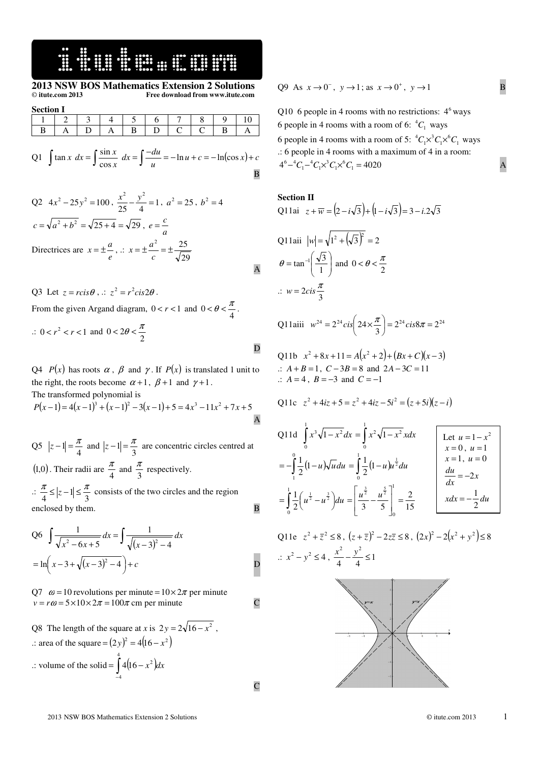#### **:WEBSTER**

#### **2013 NSW BOS Mathematics Extension 2 Solutions**  © **itute.com 2013 Free download from www.itute.com**

| <b>Section I</b> |  |  |  |   |  |  |  |  |  |
|------------------|--|--|--|---|--|--|--|--|--|
|                  |  |  |  |   |  |  |  |  |  |
|                  |  |  |  | B |  |  |  |  |  |

Q1 
$$
\int \tan x \, dx = \int \frac{\sin x}{\cos x} \, dx = \int \frac{-du}{u} = -\ln u + c = -\ln(\cos x) + c
$$

Q2 4x<sup>2</sup>-25y<sup>2</sup> = 100, 
$$
\frac{x^2}{25} - \frac{y^2}{4} = 1
$$
,  $a^2 = 25$ ,  $b^2 = 4$   
\n $c = \sqrt{a^2 + b^2} = \sqrt{25 + 4} = \sqrt{29}$ ,  $e = \frac{c}{a}$   
\nDirectrices are  $x = \pm \frac{a}{e}$ ,  $\therefore x = \pm \frac{a^2}{c} = \pm \frac{25}{\sqrt{29}}$ 

Q3 Let  $z = r \text{cis} \theta$ ,  $\therefore z^2 = r^2 \text{cis} 2\theta$ . From the given Argand diagram,  $0 < r < 1$  and  $0 < \theta < \frac{\pi}{4}$ .

$$
\therefore 0 < r^2 < r < 1 \text{ and } 0 < 2\theta < \frac{\pi}{2}
$$

Q4 *P*(*x*) has roots  $\alpha$ ,  $\beta$  and  $\gamma$ . If *P*(*x*) is translated 1 unit to the right, the roots become  $\alpha + 1$ ,  $\beta + 1$  and  $\gamma + 1$ . The transformed polynomial is

 $P(x-1) = 4(x-1)^3 + (x-1)^2 - 3(x-1) + 5 = 4x^3 - 11x^2 + 7x + 5$ A

Q5  $|z-1| = \frac{\pi}{4}$  and  $|z-1| = \frac{\pi}{3}$  are concentric circles centred at  $(1,0)$ . Their radii are  $\frac{\pi}{4}$  $\frac{\pi}{4}$  and  $\frac{\pi}{3}$  $\frac{\pi}{2}$  respectively.  $\therefore \frac{n}{4} \leq |z-1| \leq \frac{n}{3}$  $\frac{\pi}{\pi} \leq |z-1| \leq \frac{\pi}{2}$  consists of the two circles and the region enclosed by them. B

Q6 
$$
\int \frac{1}{\sqrt{x^2 - 6x + 5}} dx = \int \frac{1}{\sqrt{(x-3)^2 - 4}} dx
$$

$$
= \ln\left(x - 3 + \sqrt{(x-3)^2 - 4}\right) + c
$$
D

Q7  $\omega = 10$  revolutions per minute =  $10 \times 2\pi$  per minute  $v = r\omega = 5 \times 10 \times 2\pi = 100\pi$  cm per minute C

Q8 The length of the square at *x* is  $2y = 2\sqrt{16 - x^2}$ , .: area of the square =  $(2y)^2 = 4(16 - x^2)$ .: volume of the solid =  $\int_{-4}^{6} 4(16 - x^2) dx$  $= |4|16 -$ 4 4  $4(16-x^2)dx$ 

C

$$
Q9 \text{ As } x \to 0^-, y \to 1; \text{ as } x \to 0^+, y \to 1
$$

Q10 6 people in 4 rooms with no restrictions:  $4^6$  ways 6 people in 4 rooms with a room of 6:  ${}^{4}C_{1}$  ways 6 people in 4 rooms with a room of 5:  ${}^4C_1 \times {}^3C_1 \times {}^6C_1$  ways .: 6 people in 4 rooms with a maximum of 4 in a room:  $4^6 - {}^4C_1 - {}^4C_1 \times {}^3C_1 \times {}^6C_1 = 4020$  A

**Section II** 

Q11ai 
$$
z + \overline{w} = (2 - i\sqrt{3}) + (1 - i\sqrt{3}) = 3 - i.2\sqrt{3}
$$
  
\nQ11aii  $|w| = \sqrt{1^2 + (\sqrt{3})^2} = 2$   
\n $\theta = \tan^{-1} \left( \frac{\sqrt{3}}{1} \right)$  and  $0 < \theta < \frac{\pi}{2}$   
\n $\therefore w = 2cis \frac{\pi}{3}$ 

Q11aiii 
$$
w^{24} = 2^{24} cis \left( 24 \times \frac{\pi}{3} \right) = 2^{24} cis 8\pi = 2^{24}
$$

Q11b 
$$
x^2 + 8x + 11 = A(x^2 + 2) + (Bx + C)(x - 3)
$$
  
\n $\therefore A + B = 1, C - 3B = 8 \text{ and } 2A - 3C = 11$   
\n $\therefore A = 4, B = -3 \text{ and } C = -1$ 

Q11c 
$$
z^2 + 4iz + 5 = z^2 + 4iz - 5i^2 = (z + 5i)(z - i)
$$

Q11d 
$$
\int_0^1 x^3 \sqrt{1-x^2} dx = \int_0^1 x^2 \sqrt{1-x^2} x dx
$$
  
\n
$$
= -\int_1^0 \frac{1}{2} (1-u) \sqrt{u} du = \int_0^1 \frac{1}{2} (1-u) u^{\frac{1}{2}} du
$$
\n
$$
= \int_0^1 \frac{1}{2} (u^{\frac{1}{2}} - u^{\frac{3}{2}}) du = \left[ \frac{u^{\frac{3}{2}}}{3} - \frac{u^{\frac{5}{2}}}{5} \right]_0^1 = \frac{2}{15}
$$
\n
$$
x = 1, u = 0
$$
\n
$$
\frac{du}{dx} = -2x
$$
\n
$$
x dx = -\frac{1}{2} du
$$

Q11e 
$$
z^2 + \overline{z}^2 \le 8
$$
,  $(z + \overline{z})^2 - 2z\overline{z} \le 8$ ,  $(2x)^2 - 2(x^2 + y^2) \le 8$   
\n $\therefore x^2 - y^2 \le 4$ ,  $\frac{x^2}{4} - \frac{y^2}{4} \le 1$ 

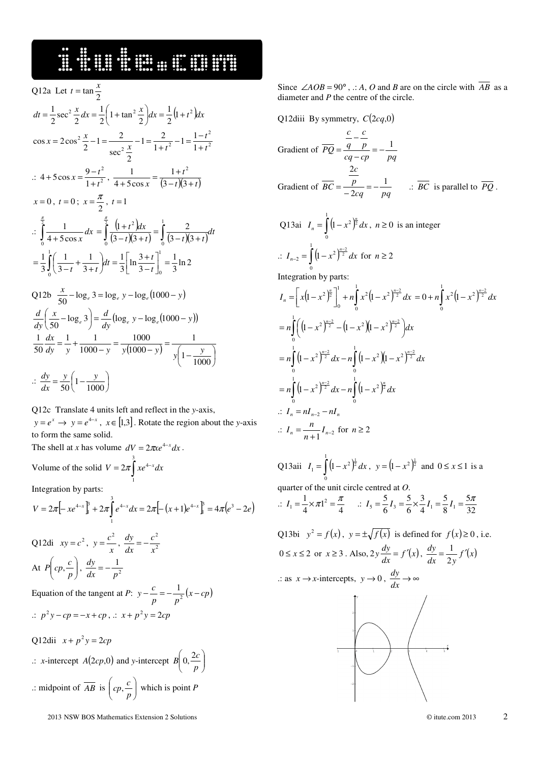## 16 September 1984

Q12a Let 
$$
t = \tan \frac{x}{2}
$$
  
\n
$$
dt = \frac{1}{2}\sec^2 \frac{x}{2} dx = \frac{1}{2}\left(1 + \tan^2 \frac{x}{2}\right) dx = \frac{1}{2}\left(1 + t^2\right) dx
$$
\n
$$
\cos x = 2\cos^2 \frac{x}{2} - 1 = \frac{2}{\sec^2 \frac{x}{2}} - 1 = \frac{2}{1 + t^2} - 1 = \frac{1 - t^2}{1 + t^2}
$$
\n
$$
\therefore 4 + 5\cos x = \frac{9 - t^2}{1 + t^2}, \quad \frac{1}{4 + 5\cos x} = \frac{1 + t^2}{(3 - t)(3 + t)}
$$
\n
$$
x = 0, \quad t = 0; \quad x = \frac{\pi}{2}, \quad t = 1
$$
\n
$$
\therefore \int_0^{\frac{\pi}{2}} \frac{1}{4 + 5\cos x} dx = \int_0^{\frac{\pi}{2}} \frac{\left(1 + t^2\right)dx}{\left(3 - t\right)\left(3 + t\right)} = \int_0^1 \frac{2}{\left(3 - t\right)\left(3 + t\right)} dt
$$
\n
$$
= \frac{1}{3} \int_0^1 \left(\frac{1}{3 - t} + \frac{1}{3 + t}\right) dt = \frac{1}{3} \left[\ln \frac{3 + t}{3 - t}\right]_0^1 = \frac{1}{3} \ln 2
$$
\nQ12b  $\frac{x}{50} - \log_e 3 = \log_e y - \log_e (1000 - y)$   
\n
$$
\frac{d}{dy} \left(\frac{x}{50} - \log_e 3\right) = \frac{d}{dy} \left(\log_e y - \log_e (1000 - y)\right)
$$
\n
$$
\frac{1}{50} \frac{dx}{dy} = \frac{1}{y} + \frac{1}{1000 - y} = \frac{1000}{y(1000 - y)} = \frac{1}{y\left(1 - \frac{y}{1000}\right)}
$$

$$
\therefore \frac{dy}{dx} = \frac{y}{50} \left( 1 - \frac{y}{1000} \right)
$$

Q12c Translate 4 units left and reflect in the *y*-axis,  $y = e^x \rightarrow y = e^{4-x}$ ,  $x \in [1,3]$ . Rotate the region about the *y*-axis to form the same solid.

The shell at *x* has volume  $dV = 2\pi x e^{4-x} dx$ . Volume of the solid  $V = 2\pi \int xe^{4-}$ 3  $V = 2\pi \int xe^{4-x} dx$ 

Integration by parts:

$$
V = 2\pi \left[ -xe^{4-x} \right]_1^3 + 2\pi \int_1^3 e^{4-x} dx = 2\pi \left[ -\left( x+1 \right) e^{4-x} \right]_1^3 = 4\pi \left( e^3 - 2e \right)
$$

1

Q12di  $xy = c^2$ ,  $y = \frac{c}{x}$  $y = \frac{c^2}{r}, \frac{dy}{dr} = -\frac{c^2}{r^2}$ *x c dx*  $\frac{dy}{dx}$  = − At P  $cp, -c$ J  $\backslash$  $\mathsf{I}$ ∖ ſ *p*  $P\left[cp, \frac{c}{p}\right], \frac{dy}{dx} = -\frac{1}{p^2}$ *dx p*  $\frac{dy}{dx}$  = − Equation of the tangent at *P*:  $y - \frac{c}{p} = -\frac{1}{p^2}(x - cp)$  $y - \frac{c}{n} = -\frac{1}{n^2}(x -$ 

$$
\therefore p^2 y - cp = -x + cp, \therefore x + p^2 y = 2cp
$$

Q12dii  $x + p^2 y = 2cp$  $\therefore$  *x*-intercept *A*(2*cp*,0) and *y*-intercept *B* 0,  $\frac{2c}{n}$ J )  $\overline{\phantom{a}}$ l ſ *p*  $B\left(0,\frac{2c}{c}\right)$ .: midpoint of  $\overline{AB}$  is  $\left[ cp, \frac{c}{n} \right]$ J  $\backslash$  $\overline{\phantom{a}}$ ∖ ſ *p*  $\left\lfloor \frac{c}{p} \right\rfloor$  which is point *P* 

Since  $\angle AOB = 90^\circ$ , .: *A*, *O* and *B* are on the circle with  $\overline{AB}$  as a diameter and *P* the centre of the circle.

Q12diii By symmetry, 
$$
C(2cq,0)
$$
  
\nGradient of  $\overline{PQ} = \frac{\frac{c}{q} - \frac{c}{p}}{cq - cp} = -\frac{1}{pq}$   
\nGradient of  $\overline{BC} = \frac{\frac{2c}{p}}{-2cq} = -\frac{1}{pq}$   $\therefore \overline{BC}$  is parallel to  $\overline{PQ}$ .  
\nQ13ai  $I_n = \int_0^1 (1 - x^2)^{\frac{n}{2}} dx$ ,  $n \ge 0$  is an integer  
\n $\therefore I_{n-2} = \int_0^1 (1 - x^2)^{\frac{n-2}{2}} dx$  for  $n \ge 2$   
\nIntegration by parts:  
\n $I_n = \left[ x(1 - x^2)^{\frac{n}{2}} \right]_0^1 + n \int_0^1 x^2 (1 - x^2)^{\frac{n-2}{2}} dx = 0 + n \int_0^1 x^2 (1 - x^2)^{\frac{n-2}{2}} dx$   
\n $= n \int_0^1 (1 - x^2)^{\frac{n-2}{2}} - (1 - x^2)(1 - x^2)^{\frac{n-2}{2}} dx$ 

$$
I_n = \left[ x \left( 1 - x^2 \right)^{\frac{n}{2}} \right]_0^1 + n \int_0^1 x^2 \left( 1 - x^2 \right)^{\frac{n-2}{2}} dx = 0 + n \int_0^1 x^2 \left( 1 - x^2 \right)^{\frac{n-2}{2}} dx
$$
  
\n
$$
= n \int_0^1 \left( \left( 1 - x^2 \right)^{\frac{n-2}{2}} - \left( 1 - x^2 \right) \left( 1 - x^2 \right)^{\frac{n-2}{2}} \right) dx
$$
  
\n
$$
= n \int_0^1 \left( 1 - x^2 \right)^{\frac{n-2}{2}} dx - n \int_0^1 \left( 1 - x^2 \right) \left( 1 - x^2 \right)^{\frac{n-2}{2}} dx
$$
  
\n
$$
= n \int_0^1 \left( 1 - x^2 \right)^{\frac{n-2}{2}} dx - n \int_0^1 \left( 1 - x^2 \right)^{\frac{n}{2}} dx
$$
  
\n
$$
\therefore I_n = n I_{n-2} - n I_n
$$
  
\n
$$
\therefore I_n = \frac{n}{n+1} I_{n-2} \text{ for } n \ge 2
$$

Q13aii  $I_1 = \int (1 - x^2)^{\frac{1}{2}}$ 1 0  $I_1 = \int (1 - x^2)^{\frac{1}{2}} dx$ ,  $y = (1 - x^2)^{\frac{1}{2}}$  and  $0 \le x \le 1$  is a quarter of the unit circle centred at *O*.

$$
\therefore I_1 = \frac{1}{4} \times \pi 1^2 = \frac{\pi}{4} \qquad \therefore I_5 = \frac{5}{6} I_3 = \frac{5}{6} \times \frac{3}{4} I_1 = \frac{5}{8} I_1 = \frac{5\pi}{32}
$$

Q13bi  $y^2 = f(x)$ ,  $y = \pm \sqrt{f(x)}$  is defined for  $f(x) \ge 0$ , i.e.  $0 \le x \le 2$  or  $x \ge 3$ . Also,  $2y \frac{dy}{dx} = f'(x)$ ,  $\frac{dy}{dx} = \frac{1}{2y} f'(x)$  $\frac{dy}{dx} = \frac{1}{2y}f'$ 1  $\therefore$  as *x* → *x*-intercepts, *y* → 0,  $\frac{dy}{dx}$  → ∞ *dy*



2013 NSW BOS Mathematics Extension 2 Solutions © itute.com 2013 2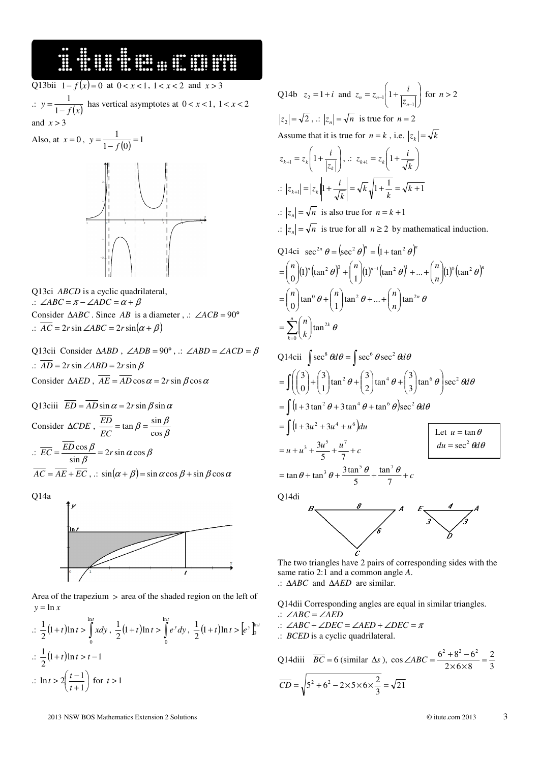### 

Q13bii  $1 - f(x) = 0$  at  $0 < x < 1$ ,  $1 < x < 2$  and  $x > 3$ .:  $\overline{f(x)}$ *y* − = 1 1 has vertical asymptotes at  $0 < x < 1$ ,  $1 < x < 2$ and  $x > 3$ 

$$
0, y = \frac{1}{1 - f(0)} = 1
$$

Q13ci *ABCD* is a cyclic quadrilateral, .:  $\angle ABC = \pi - \angle ADC = \alpha + \beta$ Consider  $\triangle ABC$ . Since *AB* is a diameter, .: ∠*ACB* = 90° .:  $\overline{AC}$  = 2*r* sin ∠*ABC* = 2*r* sin( $\alpha$  +  $\beta$ )

Q13cii Consider ∆*ABD* , ∠*ADB* = 90° , .: ∠*ABD* = ∠*ACD* = β .:  $\overline{AD}$  = 2*r*sin ∠*ABD* = 2*r*sin  $\beta$ Consider  $\triangle AED$ ,  $\overline{AE} = \overline{AD} \cos \alpha = 2r \sin \beta \cos \alpha$ 

Q13ciii  $\overline{ED} = \overline{AD} \sin \alpha = 2r \sin \beta \sin \alpha$ Consider  $\triangle CDE$ ,  $\frac{DE}{EC} = \tan \beta = \frac{\sin \beta}{\cos \beta}$  $\beta = \frac{\sin \beta}{\cos \beta}$  $=$  tan  $\beta = \frac{\sin \theta}{\sin \theta}$ *EC ED*  $\therefore EC = \frac{2BCOSp}{\sin \beta} = 2r \sin \alpha \cos \beta$  $\frac{D\cos\beta}{\sin\beta} = 2r\sin\alpha\cos\beta$  $\overline{EC} = \frac{ED\cos\beta}{\beta} = 2r$  $\overline{AC} = \overline{AE} + \overline{EC}$ ,  $\therefore$  sin $(\alpha + \beta) = \sin \alpha \cos \beta + \sin \beta \cos \alpha$ 

Q14a

Also, at  $x =$ 



Area of the trapezium > area of the shaded region on the left of  $y = \ln x$ 

$$
\therefore \frac{1}{2}(1+t)\ln t > \int_{0}^{\ln t} x dy, \frac{1}{2}(1+t)\ln t > \int_{0}^{\ln t} e^{y} dy, \frac{1}{2}(1+t)\ln t > [e^{y}]_{0}^{\ln t}
$$
  

$$
\therefore \frac{1}{2}(1+t)\ln t > t-1
$$
  

$$
\therefore \ln t > 2\left(\frac{t-1}{t+1}\right) \text{ for } t > 1
$$

Q14b  $z_2 = 1 + i$  and  $z_n = z_{n-1} \left| 1 + \frac{i}{|z|} \right|$ J  $\backslash$  $\overline{\phantom{a}}$ ∖ ſ  $= z_{n-1} | 1 +$  $-1\left(1+\frac{1}{|z_{n-1}|}\right)$  $\left|z_n\right|^{n-2}$  $z_n = z_{n-1} \left( 1 + \frac{i}{1-i} \right)$  for  $n > 2$  $|z_2| = \sqrt{2}$ ,  $\therefore$   $|z_n| = \sqrt{n}$  is true for  $n = 2$ Assume that it is true for  $n = k$ , i.e.  $|z_k| = \sqrt{k}$  $\overline{\phantom{a}}$ J )  $\overline{\phantom{a}}$ l ſ  $z_{k+1} = z_k \left( 1 + \frac{1}{|z_k|} \right)$  $z_{k+1} = z_k \left( 1 + \frac{i}{|z|} \right), \therefore z_{k+1} = z_k \left( 1 + \frac{i}{\sqrt{k}} \right)$ J  $\backslash$  $\overline{\phantom{a}}$ l  $t_{+1} = z_k \left( 1 + \frac{i}{\sqrt{k}} \right)$  $z_{k+1} = z_k \left( 1 + \frac{i}{l} \right)$  $\therefore$   $|z_{k+1}| = |z_k||1 + \frac{i}{\sqrt{k}}| = \sqrt{k} \sqrt{1 + \frac{1}{k}} = \sqrt{k+1}$ *k*  $|z_{k+1}| = |z_k| + \frac{i}{l}$  $\therefore$   $|z_n| = \sqrt{n}$  is also true for  $n = k + 1$  $\therefore$   $|z_n| = \sqrt{n}$  is true for all  $n \ge 2$  by mathematical induction. Q14ci  $\sec^{2n} \theta = (\sec^2 \theta)^n = (1 + \tan^2 \theta)^n$  $(1)^n (\tan^2 \theta)^0 + {n \choose 1} (1)^{n-1} (\tan^2 \theta)^1 + ... + {n \choose n} (1)^0 (\tan^2 \theta)^n$  $\frac{n}{\theta}$ (1)<sup>n</sup> (tan<sup>2</sup>  $\theta$ )<sup>0</sup> +  $\binom{n}{1}$ (1)<sup>n-1</sup> (tan<sup>2</sup>  $\theta$ )<sup>1</sup> + ... +  $\binom{n}{n}$ (1)<sup>o</sup> (tan<sup>2</sup>  $\theta$ J )  $\overline{\phantom{a}}$ l  $\left| (1)^{n-1} (\tan^2 \theta)^1 + ... + \right|$ J )  $\parallel$ ∖  $\left| (1)^n (\tan^2 \theta)^0 + \right|$ J )  $\parallel$ ∖  $=\binom{n}{0}(1)^n(\tan^2\theta)^0+\binom{n}{1}(1)^{n-1}$ 

$$
= {n \choose 0} \tan^0 \theta + {n \choose 1} \tan^2 \theta + ... + {n \choose n} \tan^{2n} \theta
$$
  
= 
$$
\sum_{k=0}^n {n \choose k} \tan^{2k} \theta
$$

Q14cii 
$$
\int \sec^8 \theta d\theta = \int \sec^6 \theta \sec^2 \theta d\theta
$$

$$
= \int \left( \begin{pmatrix} 3 \\ 0 \end{pmatrix} + \begin{pmatrix} 3 \\ 1 \end{pmatrix} \tan^2 \theta + \begin{pmatrix} 3 \\ 2 \end{pmatrix} \tan^4 \theta + \begin{pmatrix} 3 \\ 3 \end{pmatrix} \tan^6 \theta \right) \sec^2 \theta d\theta
$$

$$
= \int (1 + 3 \tan^2 \theta + 3 \tan^4 \theta + \tan^6 \theta) \sec^2 \theta d\theta
$$

$$
= \int (1 + 3u^2 + 3u^4 + u^6) du
$$

$$
= \int (1 + 3u^2 + 3u^4 + u^6) du
$$

$$
= u + u^3 + \frac{3u^5}{5} + \frac{u^7}{7} + c
$$

$$
= \tan \theta + \tan^3 \theta + \frac{3 \tan^5 \theta}{5} + \frac{\tan^7 \theta}{7} + c
$$

Q14di



The two triangles have 2 pairs of corresponding sides with the same ratio 2:1 and a common angle *A*. .: ∆*ABC* and ∆*AED* are similar.

Q14dii Corresponding angles are equal in similar triangles. .: ∠*ABC* = ∠*AED*

.: ∠*ABC* + ∠*DEC* = ∠*AED* + ∠*DEC* = <sup>π</sup> .: *BCED* is a cyclic quadrilateral.

Q14diii 
$$
\overline{BC} = 6
$$
 (similar  $\Delta s$ ),  $\cos \angle ABC = \frac{6^2 + 8^2 - 6^2}{2 \times 6 \times 8} = \frac{2}{3}$   

$$
\overline{CD} = \sqrt{5^2 + 6^2 - 2 \times 5 \times 6 \times \frac{2}{3}} = \sqrt{21}
$$

2013 NSW BOS Mathematics Extension 2 Solutions © itute.com 2013 3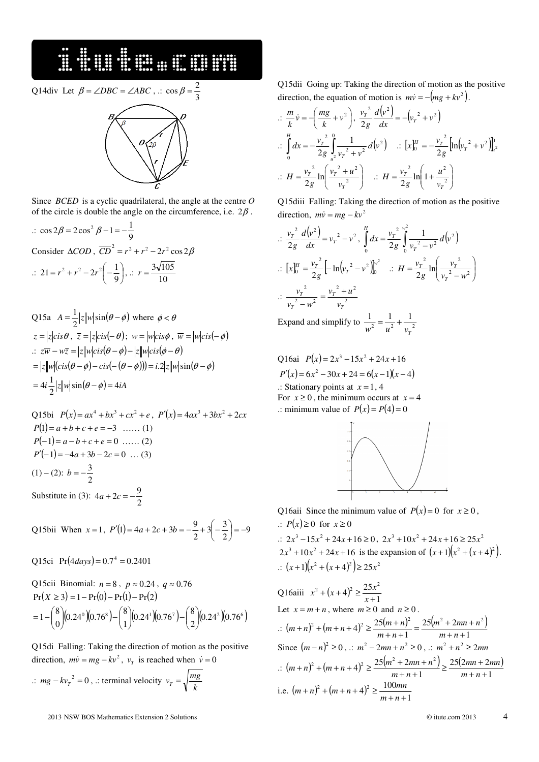#### 16. STRAND STRAND STRAND STRAND STRAND STRAND STRAND STRAND STRAND STRAND STRAND STRAND STRAND STRAND STRAND STRAND STRAND STRAND STRAND STRAND STRAND STRAND STRAND STRAND STRAND STRAND STRAND STRAND STRAND STRAND STRAND S

Q14div Let  $\beta = \angle DBC = \angle ABC$ , .:  $\cos \beta = \frac{2}{3}$  $\cos \beta = \frac{2}{3}$ 

Since *BCED* is a cyclic quadrilateral, the angle at the centre *O* of the circle is double the angle on the circumference, i.e.  $2\beta$ .

 $\therefore$  cos 2 $\beta = 2\cos^2 \beta - 1 = -\frac{1}{9}$  $\cos 2\beta = 2\cos^2 \beta - 1 = -\frac{1}{2}$ Consider  $\triangle COD$ ,  $\overline{CD}^2 = r^2 + r^2 - 2r^2 \cos 2\beta$  $\therefore$  21 =  $r^2 + r^2 - 2r^2 \left(-\frac{1}{9}\right)$  $\left(-\frac{1}{2}\right)$ l  $= r^2 + r^2 - 2r^2 \left(-\frac{1}{9}\right)$  $21 = r^2 + r^2 - 2r^2 \left(-\frac{1}{9}\right), \therefore r = \frac{3\sqrt{10}}{10}$  $r = \frac{3\sqrt{105}}{10}$ 

Q15a 
$$
A = \frac{1}{2} |z| |w| \sin(\theta - \phi)
$$
 where  $\phi < \theta$   
\n $z = |z| cis \theta$ ,  $\overline{z} = |z| cis(-\theta)$ ;  $w = |w| cis \phi$ ,  $\overline{w} = |w| cis(-\phi)$   
\n $\therefore z\overline{w} - w\overline{z} = |z| |w| cis(\theta - \phi) - |z| |w| cis(\phi - \theta)$   
\n $= |z| |w| (cis(\theta - \phi) - cis(-(\theta - \phi))) = i.2 |z| |w| sin(\theta - \phi)$   
\n $= 4i \frac{1}{2} |z| |w| sin(\theta - \phi) = 4iA$ 

Q15bi 
$$
P(x) = ax^4 + bx^3 + cx^2 + e
$$
,  $P'(x) = 4ax^3 + 3bx^2 + 2cx$   
\n $P(1) = a + b + c + e = -3$  ...... (1)  
\n $P(-1) = a - b + c + e = 0$  ...... (2)  
\n $P'(-1) = -4a + 3b - 2c = 0$  ... (3)  
\n(1) - (2):  $b = -\frac{3}{2}$   
\nSubstitute in (3):  $4a + 2c = -\frac{9}{2}$ 

Q15bii When  $x = 1$ ,  $P'(1) = 4a + 2c + 3b = -\frac{9}{2} + 3\left(-\frac{3}{2}\right) = -9$  $\frac{9}{2}+3\left(-\frac{3}{2}\right)$  $(1) = 4a + 2c + 3b = -\frac{9}{2} + 3\left(-\frac{3}{2}\right) = -\frac{3}{2}$  $\left(-\frac{3}{5}\right)$ l  $P'(1) = 4a + 2c + 3b = -\frac{9}{2} + 3\left( -\frac{9}{2} + \frac{3}{2} \right)$ 

Q15ci  $Pr(4 \, days) = 0.7^4 = 0.2401$ 

Q15cii Binomial: 
$$
n = 8
$$
,  $p \approx 0.24$ ,  $q \approx 0.76$   
Pr(X \ge 3) = 1 - Pr(0) - Pr(1) - Pr(2)  
=  $1 - {8 \choose 0} (0.24^0)(0.76^8) - {8 \choose 1} (0.24^1)(0.76^7) - {8 \choose 2} (0.24^2)(0.76^6)$ 

Q15di Falling: Taking the direction of motion as the positive direction,  $m\dot{v} = mg - kv^2$ ,  $v_T$  is reached when  $\dot{v} = 0$ 

∴  $mg - kv_T^2 = 0$ , .: terminal velocity  $v_T = \sqrt{\frac{m_s}{k}}$  $v_T = \sqrt{\frac{mg}{L}}$  Q15dii Going up: Taking the direction of motion as the positive direction, the equation of motion is  $m\dot{v} = -(mg + kv^2)$ .

$$
\begin{aligned}\n\therefore \frac{m}{k} \dot{v} &= -\left(\frac{mg}{k} + v^2\right), \frac{v_r^2}{2g} \frac{d(v^2)}{dx} = -\left(v_r^2 + v^2\right) \\
\therefore \int_0^H dx &= -\frac{v_r^2}{2g} \int_{u^2}^0 \frac{1}{v_r^2 + v^2} d(v^2) \quad \therefore \left[x\right]_0^H = -\frac{v_r^2}{2g} \left[\ln\left(v_r^2 + v^2\right)\right]_{u^2}^0 \\
\therefore H &= \frac{v_r^2}{2g} \ln\left(\frac{v_r^2 + u^2}{v_r^2}\right) \quad \therefore H = \frac{v_r^2}{2g} \ln\left(1 + \frac{u^2}{v_r^2}\right)\n\end{aligned}
$$

Q15diii Falling: Taking the direction of motion as the positive direction,  $m\dot{v} = mg - kv^2$ 

$$
\therefore \frac{v_r^2}{2g} \frac{d(v^2)}{dx} = v_r^2 - v^2, \int_0^H dx = \frac{v_r^2}{2g} \int_0^{w^2} \frac{1}{v_r^2 - v^2} d(v^2)
$$
  

$$
\therefore [x]_0^H = \frac{v_r^2}{2g} [-\ln(v_r^2 - v^2)]_0^{w^2} \quad \therefore H = \frac{v_r^2}{2g} \ln\left(\frac{v_r^2}{v_r^2 - w^2}\right)
$$
  

$$
\therefore \frac{v_r^2}{v_r^2 - w^2} = \frac{v_r^2 + u^2}{v_r^2}
$$

Expand and simplify to  $\frac{1}{\sqrt{2}} = \frac{1}{\sqrt{2}} + \frac{1}{\sqrt{2}}$  $\frac{1}{w^2} = \frac{1}{u^2} + \frac{1}{v_T}$ 

Q16ai  $P(x) = 2x^3 - 15x^2 + 24x + 16$  $P'(x) = 6x^2 - 30x + 24 = 6(x-1)(x-4)$  $\therefore$  Stationary points at  $x = 1, 4$ For  $x \ge 0$ , the minimum occurs at  $x = 4$ .: minimum value of  $P(x) = P(4) = 0$ 



Q16aii Since the minimum value of  $P(x) = 0$  for  $x \ge 0$ , .:  $P(x) \ge 0$  for *x* ≥ 0 .:  $2x^3 - 15x^2 + 24x + 16 \ge 0$ ,  $2x^3 + 10x^2 + 24x + 16 \ge 25x^2$  $2x^3 + 10x^2 + 24x + 16$  is the expansion of  $(x+1)(x^2 + (x+4)^2)$ .  $\therefore$   $(x+1)(x^2 + (x+4)^2) \ge 25x^2$ 

Q16aiii 
$$
x^2 + (x+4)^2 \ge \frac{25x^2}{x+1}
$$
  
\nLet  $x = m+n$ , where  $m \ge 0$  and  $n \ge 0$ .  
\n
$$
\therefore (m+n)^2 + (m+n+4)^2 \ge \frac{25(m+n)^2}{m+n+1} = \frac{25(m^2+2mn+n^2)}{m+n+1}
$$
\nSince  $(m-n)^2 \ge 0$ ,  $\therefore m^2 - 2mn + n^2 \ge 0$ ,  $\therefore m^2 + n^2 \ge 2mn$   
\n
$$
\therefore (m+n)^2 + (m+n+4)^2 \ge \frac{25(m^2+2mn+n^2)}{m+n+1} \ge \frac{25(2mn+2mn)}{m+n+1}
$$
\ni.e.  $(m+n)^2 + (m+n+4)^2 \ge \frac{100mn}{m+n+1}$